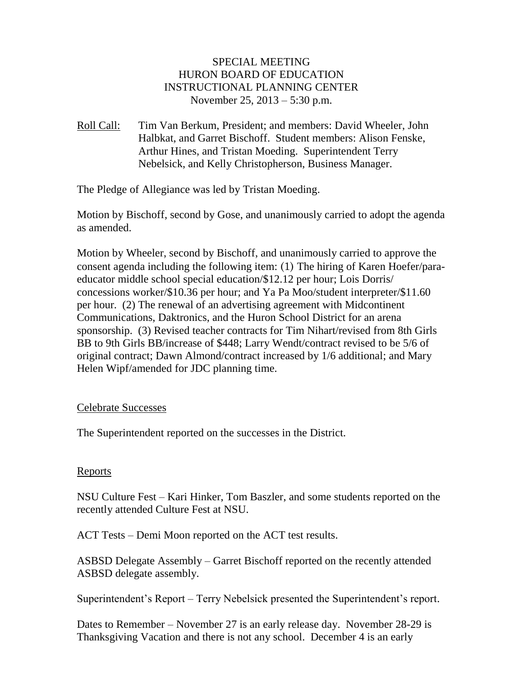# SPECIAL MEETING HURON BOARD OF EDUCATION INSTRUCTIONAL PLANNING CENTER November 25, 2013 – 5:30 p.m.

Roll Call: Tim Van Berkum, President; and members: David Wheeler, John Halbkat, and Garret Bischoff. Student members: Alison Fenske, Arthur Hines, and Tristan Moeding. Superintendent Terry Nebelsick, and Kelly Christopherson, Business Manager.

The Pledge of Allegiance was led by Tristan Moeding.

Motion by Bischoff, second by Gose, and unanimously carried to adopt the agenda as amended.

Motion by Wheeler, second by Bischoff, and unanimously carried to approve the consent agenda including the following item: (1) The hiring of Karen Hoefer/paraeducator middle school special education/\$12.12 per hour; Lois Dorris/ concessions worker/\$10.36 per hour; and Ya Pa Moo/student interpreter/\$11.60 per hour. (2) The renewal of an advertising agreement with Midcontinent Communications, Daktronics, and the Huron School District for an arena sponsorship. (3) Revised teacher contracts for Tim Nihart/revised from 8th Girls BB to 9th Girls BB/increase of \$448; Larry Wendt/contract revised to be 5/6 of original contract; Dawn Almond/contract increased by 1/6 additional; and Mary Helen Wipf/amended for JDC planning time.

# Celebrate Successes

The Superintendent reported on the successes in the District.

#### **Reports**

NSU Culture Fest – Kari Hinker, Tom Baszler, and some students reported on the recently attended Culture Fest at NSU.

ACT Tests – Demi Moon reported on the ACT test results.

ASBSD Delegate Assembly – Garret Bischoff reported on the recently attended ASBSD delegate assembly.

Superintendent's Report – Terry Nebelsick presented the Superintendent's report.

Dates to Remember – November 27 is an early release day. November 28-29 is Thanksgiving Vacation and there is not any school. December 4 is an early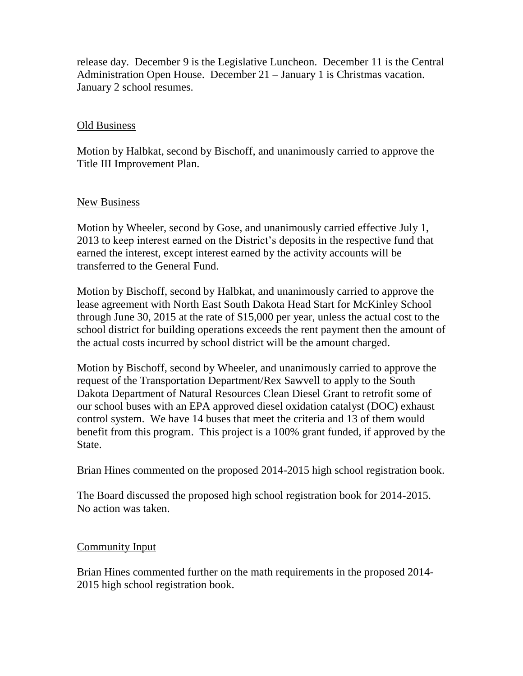release day. December 9 is the Legislative Luncheon. December 11 is the Central Administration Open House. December 21 – January 1 is Christmas vacation. January 2 school resumes.

### Old Business

Motion by Halbkat, second by Bischoff, and unanimously carried to approve the Title III Improvement Plan.

### New Business

Motion by Wheeler, second by Gose, and unanimously carried effective July 1, 2013 to keep interest earned on the District's deposits in the respective fund that earned the interest, except interest earned by the activity accounts will be transferred to the General Fund.

Motion by Bischoff, second by Halbkat, and unanimously carried to approve the lease agreement with North East South Dakota Head Start for McKinley School through June 30, 2015 at the rate of \$15,000 per year, unless the actual cost to the school district for building operations exceeds the rent payment then the amount of the actual costs incurred by school district will be the amount charged.

Motion by Bischoff, second by Wheeler, and unanimously carried to approve the request of the Transportation Department/Rex Sawvell to apply to the South Dakota Department of Natural Resources Clean Diesel Grant to retrofit some of our school buses with an EPA approved diesel oxidation catalyst (DOC) exhaust control system. We have 14 buses that meet the criteria and 13 of them would benefit from this program. This project is a 100% grant funded, if approved by the State.

Brian Hines commented on the proposed 2014-2015 high school registration book.

The Board discussed the proposed high school registration book for 2014-2015. No action was taken.

# Community Input

Brian Hines commented further on the math requirements in the proposed 2014- 2015 high school registration book.